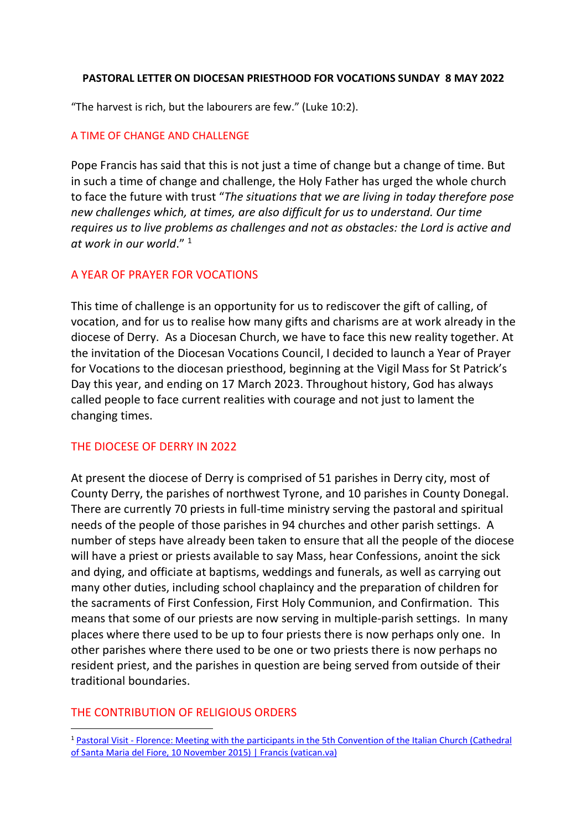#### PASTORAL LETTER ON DIOCESAN PRIESTHOOD FOR VOCATIONS SUNDAY 8 MAY 2022

"The harvest is rich, but the labourers are few." (Luke 10:2).

## A TIME OF CHANGE AND CHALLENGE

Pope Francis has said that this is not just a time of change but a change of time. But in such a time of change and challenge, the Holy Father has urged the whole church to face the future with trust "The situations that we are living in today therefore pose new challenges which, at times, are also difficult for us to understand. Our time requires us to live problems as challenges and not as obstacles: the Lord is active and at work in our world." <sup>1</sup>

## A YEAR OF PRAYER FOR VOCATIONS

This time of challenge is an opportunity for us to rediscover the gift of calling, of vocation, and for us to realise how many gifts and charisms are at work already in the diocese of Derry. As a Diocesan Church, we have to face this new reality together. At the invitation of the Diocesan Vocations Council, I decided to launch a Year of Prayer for Vocations to the diocesan priesthood, beginning at the Vigil Mass for St Patrick's Day this year, and ending on 17 March 2023. Throughout history, God has always called people to face current realities with courage and not just to lament the changing times.

## THE DIOCESE OF DERRY IN 2022

At present the diocese of Derry is comprised of 51 parishes in Derry city, most of County Derry, the parishes of northwest Tyrone, and 10 parishes in County Donegal. There are currently 70 priests in full-time ministry serving the pastoral and spiritual needs of the people of those parishes in 94 churches and other parish settings. A number of steps have already been taken to ensure that all the people of the diocese will have a priest or priests available to say Mass, hear Confessions, anoint the sick and dying, and officiate at baptisms, weddings and funerals, as well as carrying out many other duties, including school chaplaincy and the preparation of children for the sacraments of First Confession, First Holy Communion, and Confirmation. This means that some of our priests are now serving in multiple-parish settings. In many places where there used to be up to four priests there is now perhaps only one. In other parishes where there used to be one or two priests there is now perhaps no resident priest, and the parishes in question are being served from outside of their traditional boundaries.

## THE CONTRIBUTION OF RELIGIOUS ORDERS

<sup>1</sup> Pastoral Visit - Florence: Meeting with the participants in the 5th Convention of the Italian Church (Cathedral of Santa Maria del Fiore, 10 November 2015) | Francis (vatican.va)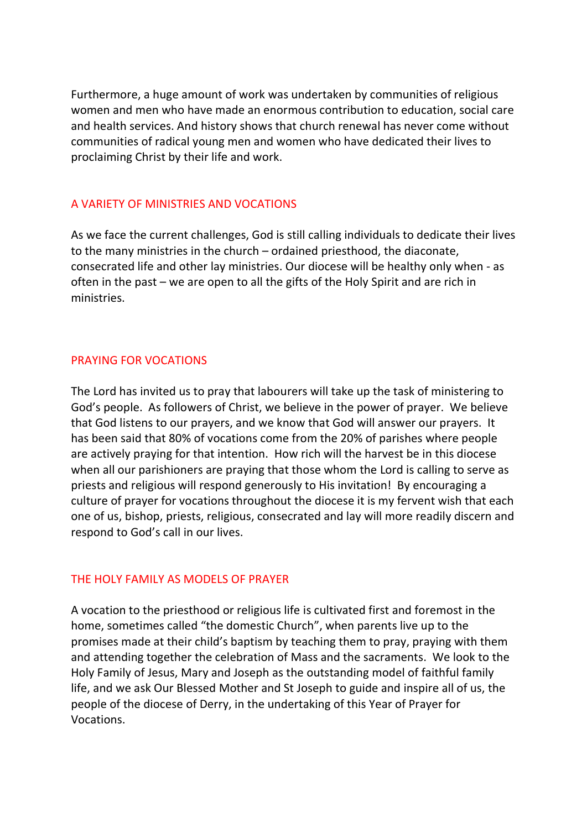Furthermore, a huge amount of work was undertaken by communities of religious women and men who have made an enormous contribution to education, social care and health services. And history shows that church renewal has never come without communities of radical young men and women who have dedicated their lives to proclaiming Christ by their life and work.

## A VARIETY OF MINISTRIES AND VOCATIONS

As we face the current challenges, God is still calling individuals to dedicate their lives to the many ministries in the church – ordained priesthood, the diaconate, consecrated life and other lay ministries. Our diocese will be healthy only when - as often in the past – we are open to all the gifts of the Holy Spirit and are rich in ministries.

## PRAYING FOR VOCATIONS

The Lord has invited us to pray that labourers will take up the task of ministering to God's people. As followers of Christ, we believe in the power of prayer. We believe that God listens to our prayers, and we know that God will answer our prayers. It has been said that 80% of vocations come from the 20% of parishes where people are actively praying for that intention. How rich will the harvest be in this diocese when all our parishioners are praying that those whom the Lord is calling to serve as priests and religious will respond generously to His invitation! By encouraging a culture of prayer for vocations throughout the diocese it is my fervent wish that each one of us, bishop, priests, religious, consecrated and lay will more readily discern and respond to God's call in our lives.

## THE HOLY FAMILY AS MODELS OF PRAYER

A vocation to the priesthood or religious life is cultivated first and foremost in the home, sometimes called "the domestic Church", when parents live up to the promises made at their child's baptism by teaching them to pray, praying with them and attending together the celebration of Mass and the sacraments. We look to the Holy Family of Jesus, Mary and Joseph as the outstanding model of faithful family life, and we ask Our Blessed Mother and St Joseph to guide and inspire all of us, the people of the diocese of Derry, in the undertaking of this Year of Prayer for Vocations.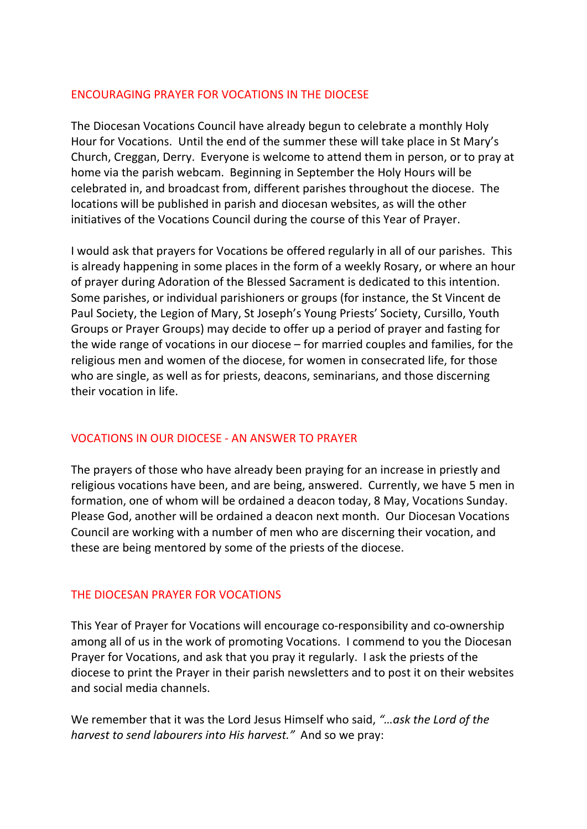## ENCOURAGING PRAYER FOR VOCATIONS IN THE DIOCESE

The Diocesan Vocations Council have already begun to celebrate a monthly Holy Hour for Vocations. Until the end of the summer these will take place in St Mary's Church, Creggan, Derry. Everyone is welcome to attend them in person, or to pray at home via the parish webcam. Beginning in September the Holy Hours will be celebrated in, and broadcast from, different parishes throughout the diocese. The locations will be published in parish and diocesan websites, as will the other initiatives of the Vocations Council during the course of this Year of Prayer.

I would ask that prayers for Vocations be offered regularly in all of our parishes. This is already happening in some places in the form of a weekly Rosary, or where an hour of prayer during Adoration of the Blessed Sacrament is dedicated to this intention. Some parishes, or individual parishioners or groups (for instance, the St Vincent de Paul Society, the Legion of Mary, St Joseph's Young Priests' Society, Cursillo, Youth Groups or Prayer Groups) may decide to offer up a period of prayer and fasting for the wide range of vocations in our diocese – for married couples and families, for the religious men and women of the diocese, for women in consecrated life, for those who are single, as well as for priests, deacons, seminarians, and those discerning their vocation in life.

# VOCATIONS IN OUR DIOCESE - AN ANSWER TO PRAYER

The prayers of those who have already been praying for an increase in priestly and religious vocations have been, and are being, answered. Currently, we have 5 men in formation, one of whom will be ordained a deacon today, 8 May, Vocations Sunday. Please God, another will be ordained a deacon next month. Our Diocesan Vocations Council are working with a number of men who are discerning their vocation, and these are being mentored by some of the priests of the diocese.

# THE DIOCESAN PRAYER FOR VOCATIONS

This Year of Prayer for Vocations will encourage co-responsibility and co-ownership among all of us in the work of promoting Vocations. I commend to you the Diocesan Prayer for Vocations, and ask that you pray it regularly. I ask the priests of the diocese to print the Prayer in their parish newsletters and to post it on their websites and social media channels.

We remember that it was the Lord Jesus Himself who said, "... ask the Lord of the harvest to send labourers into His harvest." And so we pray: